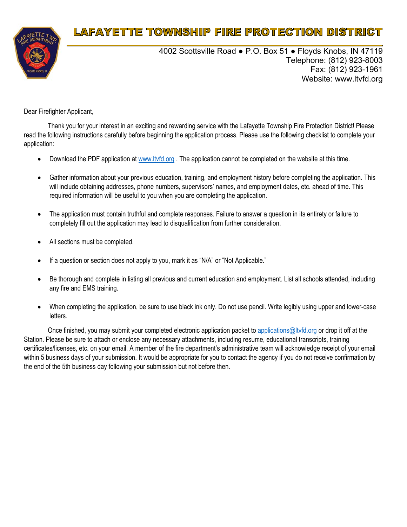

4002 Scottsville Road ● P.O. Box 51 ● Floyds Knobs, IN 47119 Telephone: (812) 923-8003 Fax: (812) 923-1961 Website: www.ltvfd.org

Dear Firefighter Applicant,

Thank you for your interest in an exciting and rewarding service with the Lafayette Township Fire Protection District! Please read the following instructions carefully before beginning the application process. Please use the following checklist to complete your application:

- Download the PDF application at www.ltvfd.org . The application cannot be completed on the website at this time.
- Gather information about your previous education, training, and employment history before completing the application. This will include obtaining addresses, phone numbers, supervisors' names, and employment dates, etc. ahead of time. This required information will be useful to you when you are completing the application.
- The application must contain truthful and complete responses. Failure to answer a question in its entirety or failure to completely fill out the application may lead to disqualification from further consideration.
- All sections must be completed.
- If a question or section does not apply to you, mark it as "N/A" or "Not Applicable."
- Be thorough and complete in listing all previous and current education and employment. List all schools attended, including any fire and EMS training.
- When completing the application, be sure to use black ink only. Do not use pencil. Write legibly using upper and lower-case letters.

Once finished, you may submit your completed electronic application packet to applications@ltvfd.org or drop it off at the Station. Please be sure to attach or enclose any necessary attachments, including resume, educational transcripts, training certificates/licenses, etc. on your email. A member of the fire department's administrative team will acknowledge receipt of your email within 5 business days of your submission. It would be appropriate for you to contact the agency if you do not receive confirmation by the end of the 5th business day following your submission but not before then.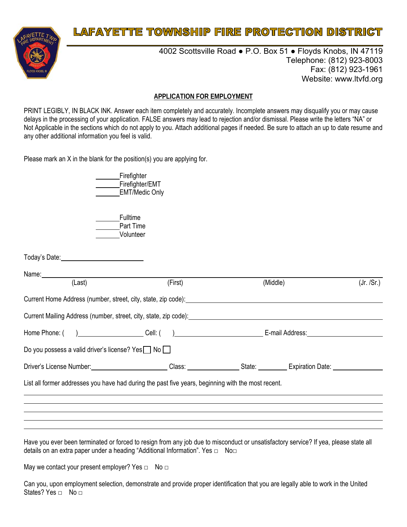

4002 Scottsville Road ● P.O. Box 51 ● Floyds Knobs, IN 47119 Telephone: (812) 923-8003 Fax: (812) 923-1961 Website: www.ltvfd.org

#### **APPLICATION FOR EMPLOYMENT**

PRINT LEGIBLY, IN BLACK INK. Answer each item completely and accurately. Incomplete answers may disqualify you or may cause delays in the processing of your application. FALSE answers may lead to rejection and/or dismissal. Please write the letters "NA" or Not Applicable in the sections which do not apply to you. Attach additional pages if needed. Be sure to attach an up to date resume and any other additional information you feel is valid.

Please mark an X in the blank for the position(s) you are applying for.

| Firefighter           |
|-----------------------|
| Firefighter/EMT       |
| <b>EMT/Medic Only</b> |

**Fulltime** Part Time Volunteer

| (Last)                                                                                                                                                                                                                         | (First) | (Middle) | (Jr. /Sr.) |
|--------------------------------------------------------------------------------------------------------------------------------------------------------------------------------------------------------------------------------|---------|----------|------------|
| Current Home Address (number, street, city, state, zip code):                                                                                                                                                                  |         |          |            |
| Current Mailing Address (number, street, city, state, zip code): example and an approximate and an approximate the                                                                                                             |         |          |            |
| Home Phone: () Cell: () Cell: () Cell: E-mail Address: E-mail Address:                                                                                                                                                         |         |          |            |
| Do you possess a valid driver's license? Yes $\Box$ No $\Box$                                                                                                                                                                  |         |          |            |
| Driver's License Number: Class: Class: State: Class: Class: Class: Class: Class: Class: Class: Class: Class: Class: Class: Class: Class: Class: Class: Class: Class: Class: Class: Class: Class: Class: Class: Class: Class: C |         |          |            |
| List all former addresses you have had during the past five years, beginning with the most recent.                                                                                                                             |         |          |            |
|                                                                                                                                                                                                                                |         |          |            |

Have you ever been terminated or forced to resign from any job due to misconduct or unsatisfactory service? If yea, please state all details on an extra paper under a heading "Additional Information". Yes □ No□

May we contact your present employer? Yes  $\Box$  No  $\Box$ 

Can you, upon employment selection, demonstrate and provide proper identification that you are legally able to work in the United States? Yes  $\Box$  No  $\Box$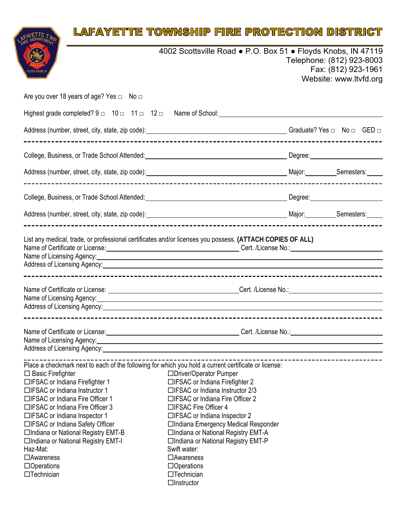

4002 Scottsville Road ● P.O. Box 51 ● Floyds Knobs, IN 47119 Telephone: (812) 923-8003 Fax: (812) 923-1961 Website: www.ltvfd.org

| Are you over 18 years of age? Yes $\Box$ No $\Box$                                                                                                                                                                                                                                                                                                                                                                                                                                                                                                                                    |                                                                                                                                                                                                                                                                                                                                                                                                                 |                          |
|---------------------------------------------------------------------------------------------------------------------------------------------------------------------------------------------------------------------------------------------------------------------------------------------------------------------------------------------------------------------------------------------------------------------------------------------------------------------------------------------------------------------------------------------------------------------------------------|-----------------------------------------------------------------------------------------------------------------------------------------------------------------------------------------------------------------------------------------------------------------------------------------------------------------------------------------------------------------------------------------------------------------|--------------------------|
| Highest grade completed? $9 \square 10 \square 11 \square 12 \square$ Name of School:                                                                                                                                                                                                                                                                                                                                                                                                                                                                                                 |                                                                                                                                                                                                                                                                                                                                                                                                                 |                          |
|                                                                                                                                                                                                                                                                                                                                                                                                                                                                                                                                                                                       |                                                                                                                                                                                                                                                                                                                                                                                                                 |                          |
| College, Business, or Trade School Attended: Manual College College, Business, Or Trade School Attended: Manua                                                                                                                                                                                                                                                                                                                                                                                                                                                                        |                                                                                                                                                                                                                                                                                                                                                                                                                 |                          |
| Address (number, street, city, state, zip code): entertainment and the material control of Major: entertainment Communication and Major: entertainment Communication and Major: entertainment and Major: entertainment Communi                                                                                                                                                                                                                                                                                                                                                        |                                                                                                                                                                                                                                                                                                                                                                                                                 |                          |
| College, Business, or Trade School Attended: Manual According Degree: Manual According Degree: Manual According Degree:                                                                                                                                                                                                                                                                                                                                                                                                                                                               |                                                                                                                                                                                                                                                                                                                                                                                                                 |                          |
| Address (number, street, city, state, zip code): entertainment control and control and major: entertainment control of the Semesters:                                                                                                                                                                                                                                                                                                                                                                                                                                                 |                                                                                                                                                                                                                                                                                                                                                                                                                 |                          |
| List any medical, trade, or professional certificates and/or licenses you possess. (ATTACH COPIES OF ALL)<br>Name of Certificate or License: <u>Certificate or License</u> No Cert. /License No.: Cert. /License No.: Cert. /License No.: Cert. /License No.: Cert. /License No.: Cert. /License No.: Cert. /License No.: Cert. /License No.:<br>Name of Licensing Agency: <u>Container and Container and Container and Container and Container and Container and Container and Container and Container and Container and Container and Container and Container and Container and</u> |                                                                                                                                                                                                                                                                                                                                                                                                                 |                          |
| Name of Certificate or License: <u>Cambridge Certificate or License</u> Cert. /License No.: Cert. /License No.:<br>Name of Licensing Agency: Name of Licensing Agency: Name of Licensing Agency:<br>Address of Licensing Agency:<br><u>Address of Licensing Agency:</u>                                                                                                                                                                                                                                                                                                               |                                                                                                                                                                                                                                                                                                                                                                                                                 |                          |
| Name of Certificate or License: <u>Cambridge Certificate or License</u> No.: Cert. /License No.: Cert. /License No.:<br>Name of Licensing Agency: Manual Communication of Licensing Agency:                                                                                                                                                                                                                                                                                                                                                                                           |                                                                                                                                                                                                                                                                                                                                                                                                                 |                          |
| Place a checkmark next to each of the following for which you hold a current certificate or license:<br>$\Box$ Basic Firefighter<br>□IFSAC or Indiana Firefighter 1<br>$\Box$ IFSAC or Indiana Instructor 1<br>□IFSAC or Indiana Fire Officer 1<br>□IFSAC or Indiana Fire Officer 3<br>□IFSAC or Indiana Inspector 1<br>□IFSAC or Indiana Safety Officer<br>□Indiana or National Registry EMT-B<br>□Indiana or National Registry EMT-I<br>Haz-Mat:<br>$\Box$ Awareness<br>$\Box$ Operations<br>$\Box$ Technician                                                                      | □Driver/Operator Pumper<br>□IFSAC or Indiana Firefighter 2<br>□IFSAC or Indiana Instructor 2/3<br>□IFSAC or Indiana Fire Officer 2<br>□IFSAC Fire Officer 4<br>□IFSAC or Indiana Inspector 2<br>□Indiana Emergency Medical Responder<br>□Indiana or National Registry EMT-A<br>□Indiana or National Registry EMT-P<br>Swift water:<br>□Awareness<br>$\Box$ Operations<br>$\Box$ Technician<br>$\Box$ Instructor | ------------------------ |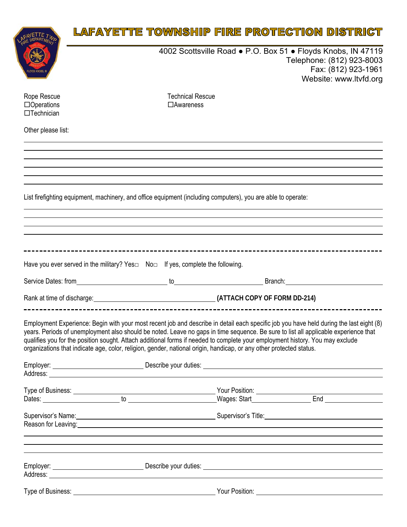|                                                       | LAFAYETTE TOWNSHIP FIRE PROTECTION DISTRICT                                                                                                                                                                                                                                                                                                                                                                                                                                                                                            |                                       |  |                                                                                                                                            |
|-------------------------------------------------------|----------------------------------------------------------------------------------------------------------------------------------------------------------------------------------------------------------------------------------------------------------------------------------------------------------------------------------------------------------------------------------------------------------------------------------------------------------------------------------------------------------------------------------------|---------------------------------------|--|--------------------------------------------------------------------------------------------------------------------------------------------|
|                                                       |                                                                                                                                                                                                                                                                                                                                                                                                                                                                                                                                        |                                       |  | 4002 Scottsville Road • P.O. Box 51 • Floyds Knobs, IN 47119<br>Telephone: (812) 923-8003<br>Fax: (812) 923-1961<br>Website: www.ltvfd.org |
| Rope Rescue<br>$\Box$ Operations<br>$\Box$ Technician |                                                                                                                                                                                                                                                                                                                                                                                                                                                                                                                                        | <b>Technical Rescue</b><br>□Awareness |  |                                                                                                                                            |
| Other please list:                                    |                                                                                                                                                                                                                                                                                                                                                                                                                                                                                                                                        |                                       |  |                                                                                                                                            |
|                                                       |                                                                                                                                                                                                                                                                                                                                                                                                                                                                                                                                        |                                       |  |                                                                                                                                            |
|                                                       |                                                                                                                                                                                                                                                                                                                                                                                                                                                                                                                                        |                                       |  |                                                                                                                                            |
|                                                       |                                                                                                                                                                                                                                                                                                                                                                                                                                                                                                                                        |                                       |  |                                                                                                                                            |
|                                                       | List firefighting equipment, machinery, and office equipment (including computers), you are able to operate:                                                                                                                                                                                                                                                                                                                                                                                                                           |                                       |  |                                                                                                                                            |
|                                                       | ,我们也不会有什么。""我们的人,我们也不会有什么?""我们的人,我们也不会有什么?""我们的人,我们也不会有什么?""我们的人,我们也不会有什么?""我们的人                                                                                                                                                                                                                                                                                                                                                                                                                                                       |                                       |  |                                                                                                                                            |
|                                                       | ,我们也不会有什么。""我们的人,我们也不会有什么?""我们的人,我们也不会有什么?""我们的人,我们也不会有什么?""我们的人,我们也不会有什么?""我们的人                                                                                                                                                                                                                                                                                                                                                                                                                                                       |                                       |  |                                                                                                                                            |
|                                                       |                                                                                                                                                                                                                                                                                                                                                                                                                                                                                                                                        |                                       |  |                                                                                                                                            |
|                                                       | Have you ever served in the military? Yes $\square$ No $\square$ If yes, complete the following.                                                                                                                                                                                                                                                                                                                                                                                                                                       |                                       |  |                                                                                                                                            |
|                                                       |                                                                                                                                                                                                                                                                                                                                                                                                                                                                                                                                        |                                       |  |                                                                                                                                            |
|                                                       | Rank at time of discharge: 14.12 COPY OF FORM DD-214)                                                                                                                                                                                                                                                                                                                                                                                                                                                                                  |                                       |  |                                                                                                                                            |
|                                                       |                                                                                                                                                                                                                                                                                                                                                                                                                                                                                                                                        |                                       |  |                                                                                                                                            |
|                                                       | Employment Experience: Begin with your most recent job and describe in detail each specific job you have held during the last eight (8)<br>years. Periods of unemployment also should be noted. Leave no gaps in time sequence. Be sure to list all applicable experience that<br>qualifies you for the position sought. Attach additional forms if needed to complete your employment history. You may exclude<br>organizations that indicate age, color, religion, gender, national origin, handicap, or any other protected status. |                                       |  |                                                                                                                                            |

| Supervisor's Name: Supervisor's Title: Supervisor's Title: |  |  |
|------------------------------------------------------------|--|--|
|                                                            |  |  |
|                                                            |  |  |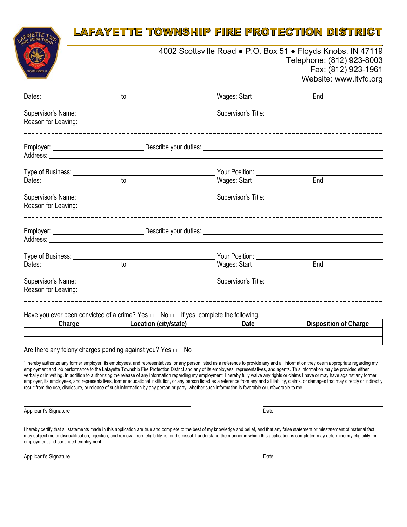| FLOYDS KNOBS II |                                                                                                                                                                                                                                                                                                                                                                                                                                                      | 4002 Scottsville Road • P.O. Box 51 • Floyds Knobs, IN 47119<br>Telephone: (812) 923-8003<br>Fax: (812) 923-1961<br>Website: www.ltvfd.org |                              |  |  |  |
|-----------------|------------------------------------------------------------------------------------------------------------------------------------------------------------------------------------------------------------------------------------------------------------------------------------------------------------------------------------------------------------------------------------------------------------------------------------------------------|--------------------------------------------------------------------------------------------------------------------------------------------|------------------------------|--|--|--|
|                 |                                                                                                                                                                                                                                                                                                                                                                                                                                                      |                                                                                                                                            |                              |  |  |  |
|                 | Supervisor's Name: Name: Name and Supervisor's Title: Name and Supervisor's Title: Name and Supervisor's Title<br>Reason for Leaving: example and the set of the set of the set of the set of the set of the set of the set of the set of the set of the set of the set of the set of the set of the set of the set of the set of the set of the                                                                                                     |                                                                                                                                            |                              |  |  |  |
|                 |                                                                                                                                                                                                                                                                                                                                                                                                                                                      |                                                                                                                                            |                              |  |  |  |
|                 |                                                                                                                                                                                                                                                                                                                                                                                                                                                      |                                                                                                                                            |                              |  |  |  |
|                 |                                                                                                                                                                                                                                                                                                                                                                                                                                                      |                                                                                                                                            |                              |  |  |  |
|                 | Supervisor's Name: <u>Contract Communication</u> Supervisor's Title: Communication Communication Communication Communication Communication Communication Communication Communication Communication Communication Communication Comm<br>Reason for Leaving: example and a series of the series of the series of the series of the series of the series                                                                                                |                                                                                                                                            |                              |  |  |  |
|                 | Employer: <u>example and the set of the Describe your duties:</u> example and the set of the set of the set of the set of the set of the set of the set of the set of the set of the set of the set of the set of the set of the se                                                                                                                                                                                                                  |                                                                                                                                            |                              |  |  |  |
|                 |                                                                                                                                                                                                                                                                                                                                                                                                                                                      |                                                                                                                                            |                              |  |  |  |
|                 |                                                                                                                                                                                                                                                                                                                                                                                                                                                      |                                                                                                                                            |                              |  |  |  |
|                 | Supervisor's Name: <u>Contract Communications</u> Supervisor's Title: Communications Communications Communications and<br>Reason for Leaving: entertainment of the state of the state of the state of the state of the state of the state of the state of the state of the state of the state of the state of the state of the state of the state of the                                                                                             |                                                                                                                                            |                              |  |  |  |
|                 | Have you ever been convicted of a crime? Yes $\Box$ No $\Box$ If yes, complete the following.                                                                                                                                                                                                                                                                                                                                                        |                                                                                                                                            |                              |  |  |  |
|                 | Charge Charge Charge Charge Charge Charge Charge Charge Charge                                                                                                                                                                                                                                                                                                                                                                                       | Date                                                                                                                                       | <b>Disposition of Charge</b> |  |  |  |
|                 | Are there any felony charges pending against you? Yes $\Box$ No $\Box$<br>"I hereby authorize any former employer, its employees, and representatives, or any person listed as a reference to provide any and all information they deem appropriate regarding my<br>employment and job performance to the Lafayette Township Fire Protection District and any of its employees, representatives, and agents. This information may be provided either |                                                                                                                                            |                              |  |  |  |

verbally or in writing. In addition to authorizing the release of any information regarding my employment, I hereby fully waive any rights or claims I have or may have against any former employer, its employees, and representatives, former educational institution, or any person listed as a reference from any and all liability, claims, or damages that may directly or indirectly result from the use, disclosure, or release of such information by any person or party, whether such information is favorable or unfavorable to me.

Applicant's Signature Date **Date of Applicant's Signature** Date **Date** 

l

I hereby certify that all statements made in this application are true and complete to the best of my knowledge and belief, and that any false statement or misstatement of material fact may subject me to disqualification, rejection, and removal from eligibility list or dismissal. I understand the manner in which this application is completed may determine my eligibility for employment and continued employment.

l Applicant's Signature Date